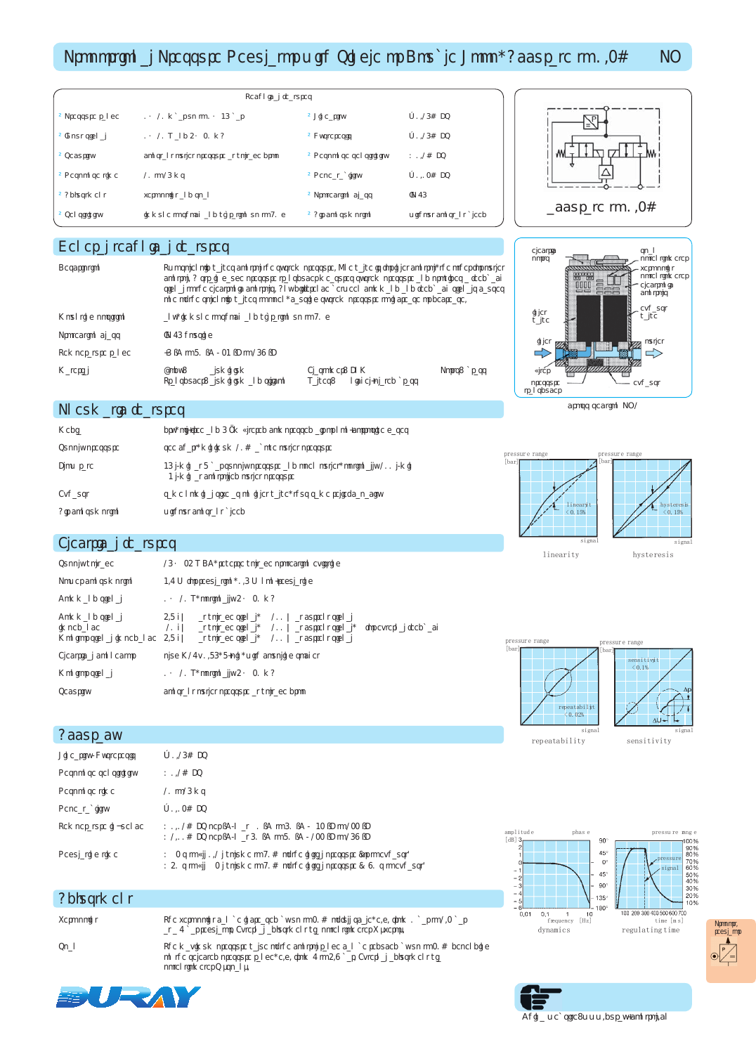## Proportional Pressure Regulator with Single or Double Loop, Accurate to 0.2% PQ

| <b>Technical features</b> |                                          |                        |                        |  |  |  |
|---------------------------|------------------------------------------|------------------------|------------------------|--|--|--|
| • Pressure range          | 010 mbar up to 035 bar                   | • Linearity            | $+0.15%$ FS            |  |  |  |
| • Input signal            | $010V$ and $420$ mA                      | • Hysteresis           | $+0.15%$ FS            |  |  |  |
| Security                  | constant outlet pressure at voltage drop | • Response sensitivity | $< 0.1\%$ FS           |  |  |  |
| • Response time           | 10 to 15 ms                              | · Repeatability        | $+0.02%$ FS            |  |  |  |
| • Adiustment              | zero point and span                      | • Protection class     | IP 65                  |  |  |  |
| Sensitivity               | immune to shock and vibration up to 90 g | • Air consumption      | without constant bleed |  |  |  |

Description Two solenoid valves control the system pressure. One valve is for inlet control, the other for outlet

Material Body: aluminium Elastomer: FKM Ports: brass Transducer: aluminium and silicon Valves:

control. A strain gauge pressure transducer measures system pressure and provides a feedback signal to the electronic controls. Any difference between command and feedback signals causes one of the solenoid valves to open, causing system pressure to increase or decrease.





#### cross section PQ1



# Pneumatic features

Protection class IP 65 housing

General technical features

| Media            | dry, oil-free and 5 µm filtered compressed air or non-corrosive gases                                            |
|------------------|------------------------------------------------------------------------------------------------------------------|
| Supply pressure  | see chart, minimum 10% above outlet pressure                                                                     |
| <b>Flow rate</b> | 35 I/min at 7 bar supply pressure and open outlet, optionally 100 I/min<br>3 I/min at controlled outlet pressure |
| Exhaust          | same nominal size as on inlet valve, thus same relief capacity                                                   |
| Air consumption  | without constant bleed                                                                                           |

Mounting position any, immune to shock and vibration up to 90 g

**Temperature range**  $-5 \degree$ **C to 70**  $\degree$ **C / 23**  $\degree$ **F to 158**  $\degree$ **F** 

#### Electrical features

| Supply voltage                                          |                                             | 15 24 V DC, reverse voltage protection existing                                       |            |                                        |                       |
|---------------------------------------------------------|---------------------------------------------|---------------------------------------------------------------------------------------|------------|----------------------------------------|-----------------------|
| Power consumption                                       | 3.6 W for regulation, 0.5 W non-regulating  |                                                                                       |            |                                        |                       |
| Command signal                                          | $0 10V$ , optionally $4 20mA$               |                                                                                       |            |                                        |                       |
| Command signal<br>impedance<br>Monitor signal impedance | 4.7 k<br>10k<br>4.7k                        | at voltage signal,<br>at voltage signal, 100 at current signal,<br>at voltage signal, | 100<br>100 | at current signal<br>at current signal | for external feedback |
| Electrical connector                                    | plug M16x 0.75, 7-pin, with coupling socket |                                                                                       |            |                                        |                       |
| Monitor signal                                          | $0 10V$ , optionally $4 20mA$               |                                                                                       |            |                                        |                       |
| Security                                                | constant outlet pressure at voltage drop    |                                                                                       |            |                                        |                       |

#### **Accuracy**

| Linearity/Hysteresis  | $±$ 0.15% FS                                                                                                                                              |
|-----------------------|-----------------------------------------------------------------------------------------------------------------------------------------------------------|
| Response sensitivity  | $< 0.1\%$ FS                                                                                                                                              |
| Response time         | 10 to 15 ms                                                                                                                                               |
| Repeatability         | $+0.02%$ FS                                                                                                                                               |
| Temperature influence | < 0.01% FS per °C/K at 0 °C to 50 °C / 32 °F to 122 °F<br>< 1.00% FS per °C/K at 50 °C to 70 °C / 122 °F to 158 °F                                        |
| Regulating time       | < 2 s to fill 0.1 I volume to 90% of the initial pressure (or to exhaust)<br>< 40 s to fill 2 I volume to 90% of the initial pressure (< 80 s to exhaust) |

### **Adjustment**

Zero point The zero point can be increased by up to 20% of full scale, e.g. from 0 bar to 1.2 bar at a 6 bar regulator. External adjustment via potentiometer Z "zero".

Span The maximum pressure value of the control range can be reduced by up to 20% depending on the selected pressure range, e.g. from 6 to 4.8 bar. External adjustment via potentiometer S "span".







China website: www.duray-control.cn



**pressure range**

pressure signal

200 300

**pressu re rang e**